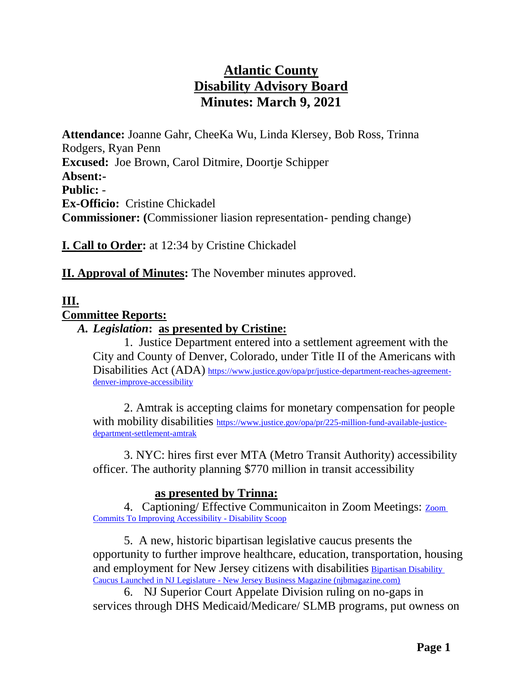# **Atlantic County Disability Advisory Board Minutes: March 9, 2021**

**Attendance:** Joanne Gahr, CheeKa Wu, Linda Klersey, Bob Ross, Trinna Rodgers, Ryan Penn **Excused:** Joe Brown, Carol Ditmire, Doortje Schipper **Absent:- Public:** - **Ex-Officio:** Cristine Chickadel **Commissioner: (**Commissioner liasion representation- pending change)

**I. Call to Order:** at 12:34 by Cristine Chickadel

**II. Approval of Minutes:** The November minutes approved.

## **III.**

#### **Committee Reports:**

### *A. Legislation***: as presented by Cristine:**

1.Justice Department entered into a settlement agreement with the City and County of Denver, Colorado, under Title II of the Americans with Disabilities Act (ADA) [https://www.justice.gov/opa/pr/justice-department-reaches-agreement](https://www.justice.gov/opa/pr/justice-department-reaches-agreement-denver-improve-accessibility)[denver-improve-accessibility](https://www.justice.gov/opa/pr/justice-department-reaches-agreement-denver-improve-accessibility)

2. Amtrak is accepting claims for monetary compensation for people with mobility disabilities [https://www.justice.gov/opa/pr/225-million-fund-available-justice](https://www.justice.gov/opa/pr/225-million-fund-available-justice-department-settlement-amtrak)[department-settlement-amtrak](https://www.justice.gov/opa/pr/225-million-fund-available-justice-department-settlement-amtrak)

3. NYC: hires first ever MTA (Metro Transit Authority) accessibility officer. The authority planning \$770 million in transit accessibility

### **as presented by Trinna:**

4. Captioning/ Effective Communicaiton in Zoom Meetings: [Zoom](https://www.disabilityscoop.com/2021/03/05/zoom-commits-to-improving-accessibility/29225/)  [Commits To Improving Accessibility -](https://www.disabilityscoop.com/2021/03/05/zoom-commits-to-improving-accessibility/29225/) Disability Scoop

5. A new, historic bipartisan legislative caucus presents the opportunity to further improve healthcare, education, transportation, housing and employment for New Jersey citizens with disabilities [Bipartisan Disability](https://njbmagazine.com/njb-news-now/historic-bipartisan-disability-caucus-launched-in-nj-legislature/)  Caucus Launched in NJ Legislature - [New Jersey Business Magazine \(njbmagazine.com\)](https://njbmagazine.com/njb-news-now/historic-bipartisan-disability-caucus-launched-in-nj-legislature/)

6. NJ Superior Court Appelate Division ruling on no-gaps in services through DHS Medicaid/Medicare/ SLMB programs, put owness on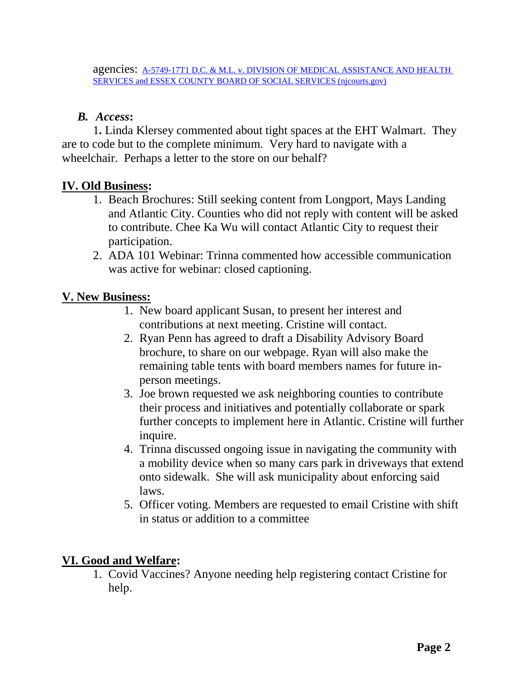## *B. Access***:**

1**.** Linda Klersey commented about tight spaces at the EHT Walmart. They are to code but to the complete minimum. Very hard to navigate with a wheelchair. Perhaps a letter to the store on our behalf?

# **IV. Old Business:**

- 1. Beach Brochures: Still seeking content from Longport, Mays Landing and Atlantic City. Counties who did not reply with content will be asked to contribute. Chee Ka Wu will contact Atlantic City to request their participation.
- 2. ADA 101 Webinar: Trinna commented how accessible communication was active for webinar: closed captioning.

# **V. New Business:**

- 1. New board applicant Susan, to present her interest and contributions at next meeting. Cristine will contact.
- 2. Ryan Penn has agreed to draft a Disability Advisory Board brochure, to share on our webpage. Ryan will also make the remaining table tents with board members names for future inperson meetings.
- 3. Joe brown requested we ask neighboring counties to contribute their process and initiatives and potentially collaborate or spark further concepts to implement here in Atlantic. Cristine will further inquire.
- 4. Trinna discussed ongoing issue in navigating the community with a mobility device when so many cars park in driveways that extend onto sidewalk. She will ask municipality about enforcing said laws.
- 5. Officer voting. Members are requested to email Cristine with shift in status or addition to a committee

# **VI. Good and Welfare:**

1. Covid Vaccines? Anyone needing help registering contact Cristine for help.